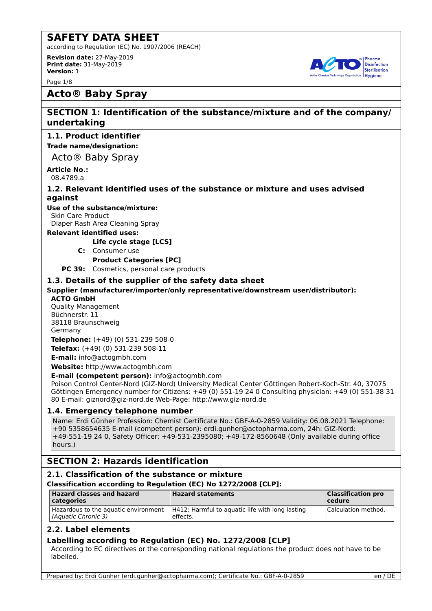according to Regulation (EC) No. 1907/2006 (REACH)

**Revision date:** 27-May-2019 **Print date:** 31-May-2019 **Version:** 1

Page 1/8



# **Acto® Baby Spray**

# **SECTION 1: Identification of the substance/mixture and of the company/ undertaking**

# **1.1. Product identifier**

**Trade name/designation:**

Acto® Baby Spray

#### **Article No.:** 08.4789.a

### **1.2. Relevant identified uses of the substance or mixture and uses advised against**

**Use of the substance/mixture:** Skin Care Product

Diaper Rash Area Cleaning Spray

### **Relevant identified uses:**

**Life cycle stage [LCS]**

**C:** Consumer use

**Product Categories [PC]**

**PC 39:** Cosmetics, personal care products

### **1.3. Details of the supplier of the safety data sheet**

**Supplier (manufacturer/importer/only representative/downstream user/distributor):**

### **ACTO GmbH**

Quality Management Büchnerstr. 11 38118 Braunschweig Germany

**Telephone:** (+49) (0) 531-239 508-0 **Telefax:** (+49) (0) 531-239 508-11

**E-mail:** info@actogmbh.com

**Website:** http://www.actogmbh.com

**E-mail (competent person):** info@actogmbh.com

Poison Control Center-Nord (GIZ-Nord) University Medical Center Göttingen Robert-Koch-Str. 40, 37075 Göttingen Emergency number for Citizens: +49 (0) 551-19 24 0 Consulting physician: +49 (0) 551-38 31 80 E-mail: giznord@giz-nord.de Web-Page: http://www.giz-nord.de

### **1.4. Emergency telephone number**

Name: Erdi Günher Profession: Chemist Certificate No.: GBF-A-0-2859 Validity: 06.08.2021 Telephone: +90 5358654635 E-mail (competent person): erdi.gunher@actopharma.com, 24h: GIZ-Nord: +49-551-19 24 0, Safety Officer: +49-531-2395080; +49-172-8560648 (Only available during office hours.)

# **SECTION 2: Hazards identification**

### **2.1. Classification of the substance or mixture**

**Classification according to Regulation (EC) No 1272/2008 [CLP]:**

| <b>Hazard classes and hazard</b><br>  categories            | <b>Hazard statements</b>                                    | <b>Classification pro</b><br>$ $ cedure |
|-------------------------------------------------------------|-------------------------------------------------------------|-----------------------------------------|
| Hazardous to the aquatic environment<br>(Aquatic Chronic 3) | H412: Harmful to aguatic life with long lasting<br>effects. | Calculation method.                     |

### **2.2. Label elements**

### **Labelling according to Regulation (EC) No. 1272/2008 [CLP]**

According to EC directives or the corresponding national regulations the product does not have to be labelled.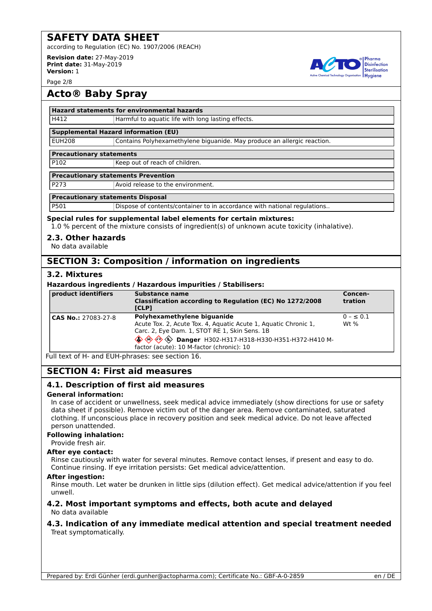according to Regulation (EC) No. 1907/2006 (REACH)

**Revision date:** 27-May-2019 **Print date:** 31-May-2019 **Version:** 1

Page 2/8

# **Acto® Baby Spray**

### **Hazard statements for environmental hazards**

H412 **Harmful to aquatic life with long lasting effects.** 

### **Supplemental Hazard information (EU)**

EUH208 Contains Polyhexamethylene biguanide. May produce an allergic reaction.

### **Precautionary statements**

P102 Keep out of reach of children.

### **Precautionary statements Prevention**

| P273 | Avoid release to the environment. |
|------|-----------------------------------|
|      |                                   |

### **Precautionary statements Disposal**

P501 Dispose of contents/container to in accordance with national regulations..

### **Special rules for supplemental label elements for certain mixtures:**

1.0 % percent of the mixture consists of ingredient(s) of unknown acute toxicity (inhalative).

### **2.3. Other hazards**

No data available

# **SECTION 3: Composition / information on ingredients**

### **3.2. Mixtures**

### **Hazardous ingredients / Hazardous impurities / Stabilisers:**

| product identifiers | Substance name<br>Classification according to Regulation (EC) No 1272/2008<br><b>ICLP1</b>                                                                                                                                                         | Concen-<br>tration      |
|---------------------|----------------------------------------------------------------------------------------------------------------------------------------------------------------------------------------------------------------------------------------------------|-------------------------|
| CAS No.: 27083-27-8 | Polyhexamethylene biquanide<br>Acute Tox. 2, Acute Tox. 4, Aquatic Acute 1, Aquatic Chronic 1,<br>Carc. 2, Eye Dam. 1, STOT RE 1, Skin Sens. 1B<br>S A A Danger H302-H317-H318-H330-H351-H372-H410 M-<br>factor (acute): 10 M-factor (chronic): 10 | $0 - \le 0.1$<br>Wt $%$ |

Full text of H- and EUH-phrases: see section 16.

# **SECTION 4: First aid measures**

### **4.1. Description of first aid measures**

### **General information:**

In case of accident or unwellness, seek medical advice immediately (show directions for use or safety data sheet if possible). Remove victim out of the danger area. Remove contaminated, saturated clothing. If unconscious place in recovery position and seek medical advice. Do not leave affected person unattended.

### **Following inhalation:**

### Provide fresh air.

### **After eye contact:**

Rinse cautiously with water for several minutes. Remove contact lenses, if present and easy to do. Continue rinsing. If eye irritation persists: Get medical advice/attention.

### **After ingestion:**

Rinse mouth. Let water be drunken in little sips (dilution effect). Get medical advice/attention if you feel unwell.

### **4.2. Most important symptoms and effects, both acute and delayed** No data available

### **4.3. Indication of any immediate medical attention and special treatment needed** Treat symptomatically.

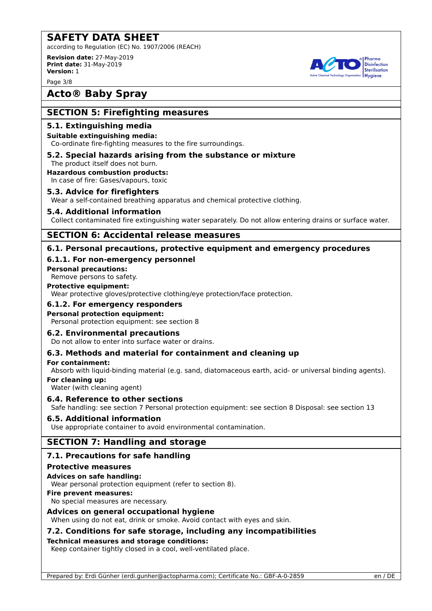according to Regulation (EC) No. 1907/2006 (REACH)

**Revision date:** 27-May-2019 **Print date:** 31-May-2019 **Version:** 1

Page 3/8

# **Acto® Baby Spray**

# **SECTION 5: Firefighting measures**

### **5.1. Extinguishing media**

### **Suitable extinguishing media:**

Co-ordinate fire-fighting measures to the fire surroundings.

#### **5.2. Special hazards arising from the substance or mixture** The product itself does not burn.

### **Hazardous combustion products:**

In case of fire: Gases/vapours, toxic

### **5.3. Advice for firefighters**

Wear a self-contained breathing apparatus and chemical protective clothing.

### **5.4. Additional information**

Collect contaminated fire extinguishing water separately. Do not allow entering drains or surface water.

### **SECTION 6: Accidental release measures**

### **6.1. Personal precautions, protective equipment and emergency procedures**

### **6.1.1. For non-emergency personnel**

**Personal precautions:**

Remove persons to safety.

### **Protective equipment:**

Wear protective gloves/protective clothing/eye protection/face protection.

### **6.1.2. For emergency responders**

### **Personal protection equipment:**

Personal protection equipment: see section 8

### **6.2. Environmental precautions**

Do not allow to enter into surface water or drains.

### **6.3. Methods and material for containment and cleaning up**

### **For containment:**

Absorb with liquid-binding material (e.g. sand, diatomaceous earth, acid- or universal binding agents).

**For cleaning up:**

Water (with cleaning agent)

### **6.4. Reference to other sections**

Safe handling: see section 7 Personal protection equipment: see section 8 Disposal: see section 13

### **6.5. Additional information**

Use appropriate container to avoid environmental contamination.

# **SECTION 7: Handling and storage**

### **7.1. Precautions for safe handling**

### **Protective measures**

**Advices on safe handling:**

Wear personal protection equipment (refer to section 8).

### **Fire prevent measures:**

No special measures are necessary.

### **Advices on general occupational hygiene**

When using do not eat, drink or smoke. Avoid contact with eyes and skin.

### **7.2. Conditions for safe storage, including any incompatibilities**

### **Technical measures and storage conditions:**

Keep container tightly closed in a cool, well-ventilated place.

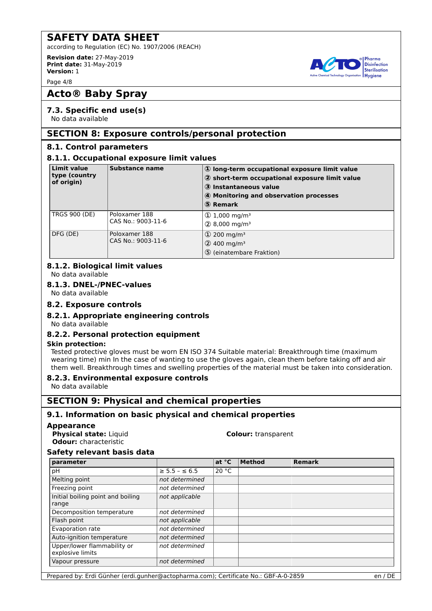according to Regulation (EC) No. 1907/2006 (REACH)

**Revision date:** 27-May-2019 **Print date:** 31-May-2019 **Version:** 1

Page 4/8

# **Acto® Baby Spray**

### **7.3. Specific end use(s)**

No data available

# **SECTION 8: Exposure controls/personal protection**

### **8.1. Control parameters**

### **8.1.1. Occupational exposure limit values**

| <b>Limit value</b><br>type (country<br>of origin) | <b>Substance name</b>               | 1) long-term occupational exposure limit value<br>2 short-term occupational exposure limit value<br>3 Instantaneous value<br>4 Monitoring and observation processes<br>5 Remark |
|---------------------------------------------------|-------------------------------------|---------------------------------------------------------------------------------------------------------------------------------------------------------------------------------|
| <b>TRGS 900 (DE)</b>                              | Poloxamer 188<br>CAS No.: 9003-11-6 | $\textcircled{1}$ ,000 mg/m <sup>3</sup><br>$(2)$ 8,000 mg/m <sup>3</sup>                                                                                                       |
| DFG (DE)                                          | Poloxamer 188<br>CAS No.: 9003-11-6 | $\textcircled{1}$ 200 mg/m <sup>3</sup><br>$(2)$ 400 mg/m <sup>3</sup><br>5 (einatembare Fraktion)                                                                              |

### **8.1.2. Biological limit values**

No data available

### **8.1.3. DNEL-/PNEC-values**

No data available

### **8.2. Exposure controls**

### **8.2.1. Appropriate engineering controls**

No data available

### **8.2.2. Personal protection equipment**

### **Skin protection:**

Tested protective gloves must be worn EN ISO 374 Suitable material: Breakthrough time (maximum wearing time) min In the case of wanting to use the gloves again, clean them before taking off and air them well. Breakthrough times and swelling properties of the material must be taken into consideration.

### **8.2.3. Environmental exposure controls**

No data available

# **SECTION 9: Physical and chemical properties**

### **9.1. Information on basic physical and chemical properties**

### **Appearance**

**Physical state:** Liquid **Colour:** transparent **Odour:** characteristic

### **Safety relevant basis data**

| parameter                                       |                       | at °C | <b>Method</b> | <b>Remark</b> |
|-------------------------------------------------|-----------------------|-------|---------------|---------------|
| рH                                              | $\ge$ 5.5 - $\le$ 6.5 | 20 °C |               |               |
| Melting point                                   | not determined        |       |               |               |
| Freezing point                                  | not determined        |       |               |               |
| Initial boiling point and boiling               | not applicable        |       |               |               |
| range                                           |                       |       |               |               |
| Decomposition temperature                       | not determined        |       |               |               |
| Flash point                                     | not applicable        |       |               |               |
| Evaporation rate                                | not determined        |       |               |               |
| Auto-ignition temperature                       | not determined        |       |               |               |
| Upper/lower flammability or<br>explosive limits | not determined        |       |               |               |
| Vapour pressure                                 | not determined        |       |               |               |

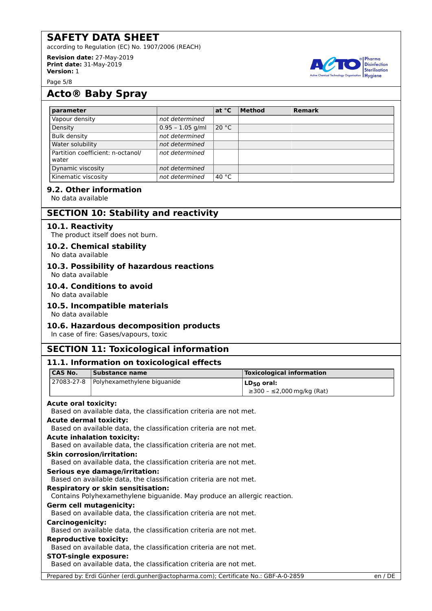according to Regulation (EC) No. 1907/2006 (REACH)

**Revision date:** 27-May-2019 **Print date:** 31-May-2019 **Version:** 1

Page 5/8

# **Acto® Baby Spray**

| parameter                                  |                    | at °C           | <b>Method</b> | <b>Remark</b> |
|--------------------------------------------|--------------------|-----------------|---------------|---------------|
| Vapour density                             | not determined     |                 |               |               |
| Density                                    | $0.95 - 1.05$ g/ml | 20 °C           |               |               |
| <b>Bulk density</b>                        | not determined     |                 |               |               |
| Water solubility                           | not determined     |                 |               |               |
| Partition coefficient: n-octanol/<br>water | not determined     |                 |               |               |
| Dynamic viscosity                          | not determined     |                 |               |               |
| Kinematic viscosity                        | not determined     | 40 $^{\circ}$ C |               |               |

### **9.2. Other information**

No data available

# **SECTION 10: Stability and reactivity**

### **10.1. Reactivity**

The product itself does not burn.

### **10.2. Chemical stability**

No data available

# **10.3. Possibility of hazardous reactions**

No data available

### **10.4. Conditions to avoid**

No data available

### **10.5. Incompatible materials**

No data available

### **10.6. Hazardous decomposition products**

In case of fire: Gases/vapours, toxic

# **SECTION 11: Toxicological information**

|                               | 11.1. Information on toxicological effects                                           |                                  |         |
|-------------------------------|--------------------------------------------------------------------------------------|----------------------------------|---------|
| <b>CAS No.</b>                | <b>Substance name</b>                                                                | <b>Toxicological information</b> |         |
| 27083-27-8                    | Polyhexamethylene biguanide                                                          | $LD_{50}$ oral:                  |         |
|                               |                                                                                      | $\geq$ 300 - ≤2,000 mg/kg (Rat)  |         |
| <b>Acute oral toxicity:</b>   |                                                                                      |                                  |         |
|                               | Based on available data, the classification criteria are not met.                    |                                  |         |
| <b>Acute dermal toxicity:</b> |                                                                                      |                                  |         |
|                               | Based on available data, the classification criteria are not met.                    |                                  |         |
|                               | <b>Acute inhalation toxicity:</b>                                                    |                                  |         |
|                               | Based on available data, the classification criteria are not met.                    |                                  |         |
|                               | <b>Skin corrosion/irritation:</b>                                                    |                                  |         |
|                               | Based on available data, the classification criteria are not met.                    |                                  |         |
|                               | Serious eye damage/irritation:                                                       |                                  |         |
|                               | Based on available data, the classification criteria are not met.                    |                                  |         |
|                               | <b>Respiratory or skin sensitisation:</b>                                            |                                  |         |
|                               | Contains Polyhexamethylene biguanide. May produce an allergic reaction.              |                                  |         |
|                               | <b>Germ cell mutagenicity:</b>                                                       |                                  |         |
|                               | Based on available data, the classification criteria are not met.                    |                                  |         |
| <b>Carcinogenicity:</b>       |                                                                                      |                                  |         |
|                               | Based on available data, the classification criteria are not met.                    |                                  |         |
| <b>Reproductive toxicity:</b> |                                                                                      |                                  |         |
|                               | Based on available data, the classification criteria are not met.                    |                                  |         |
| <b>STOT-single exposure:</b>  |                                                                                      |                                  |         |
|                               | Based on available data, the classification criteria are not met.                    |                                  |         |
|                               | Prepared by: Erdi Günher (erdi.gunher@actopharma.com); Certificate No.: GBF-A-0-2859 |                                  | en / DE |

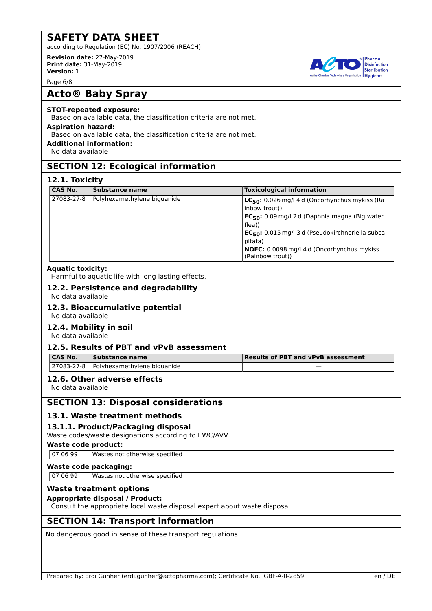according to Regulation (EC) No. 1907/2006 (REACH)

**Revision date:** 27-May-2019 **Print date:** 31-May-2019 **Version:** 1

Page 6/8

# **Acto® Baby Spray**

### **STOT-repeated exposure:**

Based on available data, the classification criteria are not met.

### **Aspiration hazard:**

Based on available data, the classification criteria are not met.

### **Additional information:**

No data available

# **SECTION 12: Ecological information**

### **12.1. Toxicity**

| <b>CAS No.</b> | Substance name              | <b>Toxicological information</b>                                                                                                                                                                                                                                                                         |
|----------------|-----------------------------|----------------------------------------------------------------------------------------------------------------------------------------------------------------------------------------------------------------------------------------------------------------------------------------------------------|
| 27083-27-8     | Polyhexamethylene biguanide | LC <sub>50</sub> : 0.026 mg/l 4 d (Oncorhynchus mykiss (Ra<br>(inbow trout)<br>EC <sub>50</sub> : 0.09 mg/l 2 d (Daphnia magna (Big water<br>flea))<br>EC <sub>50</sub> : 0.015 mg/l 3 d (Pseudokirchneriella subca<br>pitata)<br><b>NOEC:</b> 0.0098 mg/l 4 d (Oncorhynchus mykiss)<br>(Rainbow trout)) |

### **Aquatic toxicity:**

Harmful to aquatic life with long lasting effects.

### **12.2. Persistence and degradability**

No data available

#### **12.3. Bioaccumulative potential** No data available

# **12.4. Mobility in soil**

No data available

### **12.5. Results of PBT and vPvB assessment**

| <b>CAS No.</b> | <b>Substance name</b>                          | Results of PBT and vPvB assessment |
|----------------|------------------------------------------------|------------------------------------|
|                | $\vert$ 27083-27-8 Polyhexamethylene biguanide | _                                  |

### **12.6. Other adverse effects**

No data available

# **SECTION 13: Disposal considerations**

### **13.1. Waste treatment methods**

# **13.1.1. Product/Packaging disposal**

Waste codes/waste designations according to EWC/AVV

**Waste code product:**

07 06 99 Wastes not otherwise specified

### **Waste code packaging:**

07 06 99 Wastes not otherwise specified

# **Waste treatment options**

### **Appropriate disposal / Product:**

Consult the appropriate local waste disposal expert about waste disposal.

# **SECTION 14: Transport information**

No dangerous good in sense of these transport regulations.



Pharma **Disinfection** Sterilisation **Hygiene**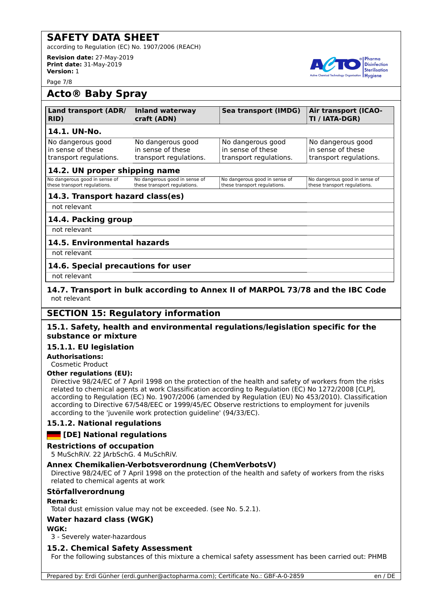according to Regulation (EC) No. 1907/2006 (REACH)

**Revision date:** 27-May-2019 **Print date:** 31-May-2019 **Version:** 1

Page 7/8



# **Acto® Baby Spray**

| Land transport (ADR/   | <b>Inland waterway</b> | <b>Sea transport (IMDG)</b> | <b>Air transport (ICAO-</b> |
|------------------------|------------------------|-----------------------------|-----------------------------|
| RID)                   | craft (ADN)            |                             | TI / IATA-DGR)              |
| 14.1. UN-No.           |                        |                             |                             |
| No dangerous good      | No dangerous good      | No dangerous good           | No dangerous good           |
| in sense of these      | in sense of these      | in sense of these           | in sense of these           |
| transport regulations. | transport regulations. | transport regulations.      | transport regulations.      |

# **14.2. UN proper shipping name**

|                                                               | _____                                                         |                                                               |                                                               |
|---------------------------------------------------------------|---------------------------------------------------------------|---------------------------------------------------------------|---------------------------------------------------------------|
| No dangerous good in sense of<br>these transport regulations. | No dangerous good in sense of<br>these transport regulations. | No dangerous good in sense of<br>these transport regulations. | No dangerous good in sense of<br>these transport regulations. |
|                                                               |                                                               |                                                               |                                                               |

# **14.3. Transport hazard class(es)**

not relevant

### **14.4. Packing group**

not relevant

### **14.5. Environmental hazards**

not relevant

### **14.6. Special precautions for user**

not relevant

### **14.7. Transport in bulk according to Annex II of MARPOL 73/78 and the IBC Code** not relevant

# **SECTION 15: Regulatory information**

### **15.1. Safety, health and environmental regulations/legislation specific for the substance or mixture**

### **15.1.1. EU legislation**

**Authorisations:** Cosmetic Product

# **Other regulations (EU):**

Directive 98/24/EC of 7 April 1998 on the protection of the health and safety of workers from the risks related to chemical agents at work Classification according to Regulation (EC) No 1272/2008 [CLP], according to Regulation (EC) No. 1907/2006 (amended by Regulation (EU) No 453/2010). Classification according to Directive 67/548/EEC or 1999/45/EC Observe restrictions to employment for juvenils according to the 'juvenile work protection guideline' (94/33/EC).

### **15.1.2. National regulations**

### **[DE] National regulations**

### **Restrictions of occupation**

5 MuSchRiV. 22 JArbSchG. 4 MuSchRiV.

### **Annex Chemikalien-Verbotsverordnung (ChemVerbotsV)**

Directive 98/24/EC of 7 April 1998 on the protection of the health and safety of workers from the risks related to chemical agents at work

### **Störfallverordnung**

### **Remark:**

Total dust emission value may not be exceeded. (see No. 5.2.1).

### **Water hazard class (WGK)**

### **WGK:**

3 - Severely water-hazardous

### **15.2. Chemical Safety Assessment**

For the following substances of this mixture a chemical safety assessment has been carried out: PHMB